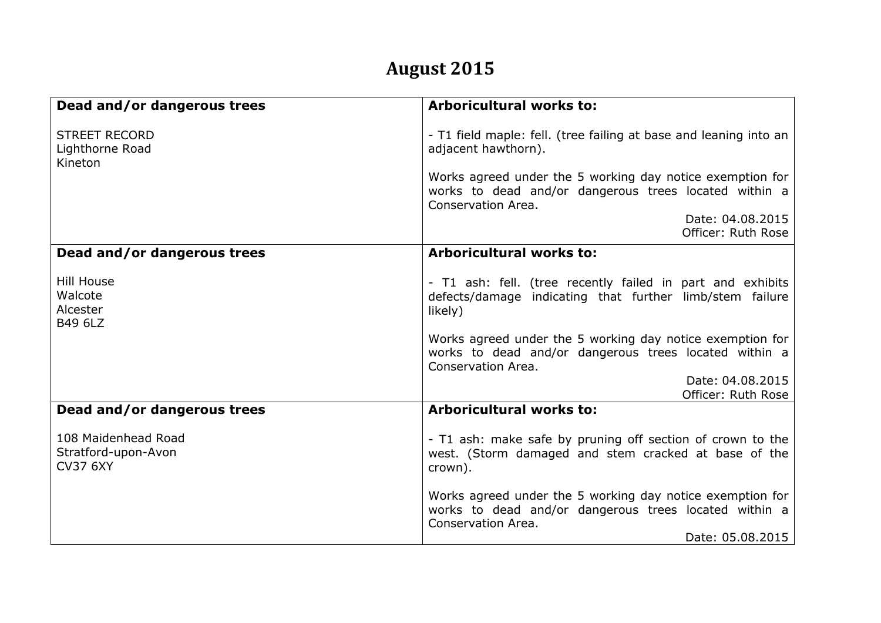## **August 2015**

| Dead and/or dangerous trees                                   | <b>Arboricultural works to:</b>                                                                                                                              |
|---------------------------------------------------------------|--------------------------------------------------------------------------------------------------------------------------------------------------------------|
| <b>STREET RECORD</b><br>Lighthorne Road<br>Kineton            | - T1 field maple: fell. (tree failing at base and leaning into an<br>adjacent hawthorn).                                                                     |
|                                                               | Works agreed under the 5 working day notice exemption for<br>works to dead and/or dangerous trees located within a<br>Conservation Area.                     |
|                                                               | Date: 04.08.2015<br>Officer: Ruth Rose                                                                                                                       |
| Dead and/or dangerous trees                                   | <b>Arboricultural works to:</b>                                                                                                                              |
| <b>Hill House</b><br>Walcote<br>Alcester<br><b>B49 6LZ</b>    | - T1 ash: fell. (tree recently failed in part and exhibits<br>defects/damage indicating that further limb/stem failure<br>likely)                            |
|                                                               | Works agreed under the 5 working day notice exemption for<br>works to dead and/or dangerous trees located within a<br>Conservation Area.                     |
|                                                               | Date: 04.08.2015<br>Officer: Ruth Rose                                                                                                                       |
| Dead and/or dangerous trees                                   | <b>Arboricultural works to:</b>                                                                                                                              |
| 108 Maidenhead Road<br>Stratford-upon-Avon<br><b>CV37 6XY</b> | - T1 ash: make safe by pruning off section of crown to the<br>west. (Storm damaged and stem cracked at base of the<br>crown).                                |
|                                                               | Works agreed under the 5 working day notice exemption for<br>works to dead and/or dangerous trees located within a<br>Conservation Area.<br>Date: 05.08.2015 |
|                                                               |                                                                                                                                                              |